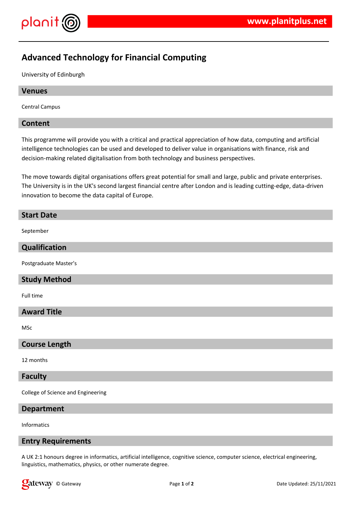

# **Advanced Technology for Financial Computing**

University of Edinburgh

## **Venues**

Central Campus

## **Content**

This programme will provide you with a critical and practical appreciation of how data, computing and artificial intelligence technologies can be used and developed to deliver value in organisations with finance, risk and decision-making related digitalisation from both technology and business perspectives.

The move towards digital organisations offers great potential for small and large, public and private enterprises. The University is in the UK's second largest financial centre after London and is leading cutting-edge, data-driven innovation to become the data capital of Europe.

## **Start Date**

September

# **Qualification**

Postgraduate Master's

# **Study Method**

Full time

## **Award Title**

MSc

## **Course Length**

12 months

#### **Faculty**

College of Science and Engineering

## **Department**

Informatics

## **Entry Requirements**

A UK 2:1 honours degree in informatics, artificial intelligence, cognitive science, computer science, electrical engineering, linguistics, mathematics, physics, or other numerate degree.